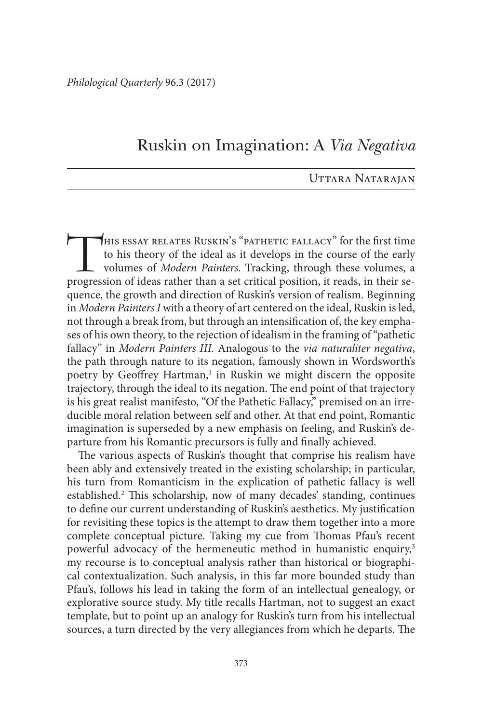# Ruskin on Imagination: A *Via Negativa*

### Uttara Natarajan

HIS ESSAY RELATES RUSKIN'S "PATHETIC FALLACY" for the first time<br>to his theory of the ideal as it develops in the course of the early<br>volumes of *Modern Painters*. Tracking, through these volumes, a<br>progression of ideas ra to his theory of the ideal as it develops in the course of the early volumes of *Modern Painters*. Tracking, through these volumes, a progression of ideas rather than a set critical position, it reads, in their sequence, the growth and direction of Ruskin's version of realism. Beginning in *Modern Painters I* with a theory of art centered on the ideal, Ruskin is led, not through a break from, but through an intensification of, the key emphases of his own theory, to the rejection of idealism in the framing of "pathetic fallacy" in *Modern Painters III.* Analogous to the *via naturaliter negativa*, the path through nature to its negation, famously shown in Wordsworth's poetry by Geoffrey Hartman,<sup>1</sup> in Ruskin we might discern the opposite trajectory, through the ideal to its negation. The end point of that trajectory is his great realist manifesto, "Of the Pathetic Fallacy," premised on an irreducible moral relation between self and other. At that end point, Romantic imagination is superseded by a new emphasis on feeling, and Ruskin's departure from his Romantic precursors is fully and finally achieved.

The various aspects of Ruskin's thought that comprise his realism have been ably and extensively treated in the existing scholarship; in particular, his turn from Romanticism in the explication of pathetic fallacy is well established.<sup>2</sup> This scholarship, now of many decades' standing, continues to define our current understanding of Ruskin's aesthetics. My justification for revisiting these topics is the attempt to draw them together into a more complete conceptual picture. Taking my cue from Thomas Pfau's recent powerful advocacy of the hermeneutic method in humanistic enquiry,<sup>3</sup> my recourse is to conceptual analysis rather than historical or biographical contextualization. Such analysis, in this far more bounded study than Pfau's, follows his lead in taking the form of an intellectual genealogy, or explorative source study. My title recalls Hartman, not to suggest an exact template, but to point up an analogy for Ruskin's turn from his intellectual sources, a turn directed by the very allegiances from which he departs. The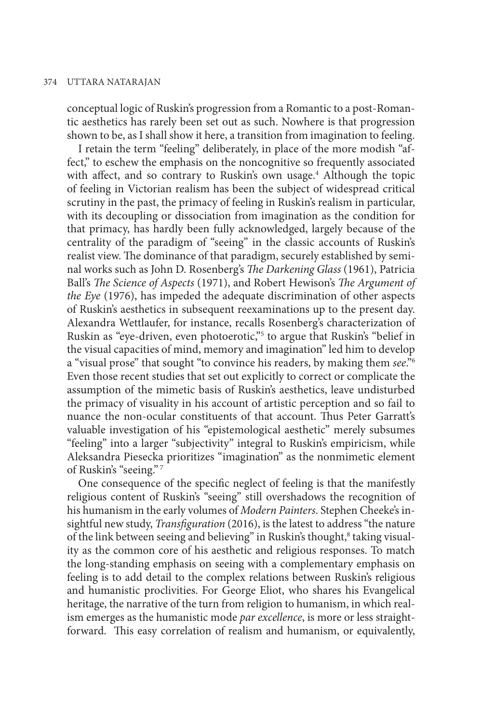conceptual logic of Ruskin's progression from a Romantic to a post-Romantic aesthetics has rarely been set out as such. Nowhere is that progression shown to be, as I shall show it here, a transition from imagination to feeling.

I retain the term "feeling" deliberately, in place of the more modish "affect," to eschew the emphasis on the noncognitive so frequently associated with affect, and so contrary to Ruskin's own usage.<sup>4</sup> Although the topic of feeling in Victorian realism has been the subject of widespread critical scrutiny in the past, the primacy of feeling in Ruskin's realism in particular, with its decoupling or dissociation from imagination as the condition for that primacy, has hardly been fully acknowledged, largely because of the centrality of the paradigm of "seeing" in the classic accounts of Ruskin's realist view. The dominance of that paradigm, securely established by seminal works such as John D. Rosenberg's *The Darkening Glass* (1961), Patricia Ball's *The Science of Aspects* (1971), and Robert Hewison's *The Argument of the Eye* (1976), has impeded the adequate discrimination of other aspects of Ruskin's aesthetics in subsequent reexaminations up to the present day. Alexandra Wettlaufer, for instance, recalls Rosenberg's characterization of Ruskin as "eye-driven, even photoerotic,"5 to argue that Ruskin's "belief in the visual capacities of mind, memory and imagination" led him to develop a "visual prose" that sought "to convince his readers, by making them *see*."6 Even those recent studies that set out explicitly to correct or complicate the assumption of the mimetic basis of Ruskin's aesthetics, leave undisturbed the primacy of visuality in his account of artistic perception and so fail to nuance the non-ocular constituents of that account. Thus Peter Garratt's valuable investigation of his "epistemological aesthetic" merely subsumes "feeling" into a larger "subjectivity" integral to Ruskin's empiricism, while Aleksandra Piesecka prioritizes "imagination" as the nonmimetic element of Ruskin's "seeing." 7

One consequence of the specific neglect of feeling is that the manifestly religious content of Ruskin's "seeing" still overshadows the recognition of his humanism in the early volumes of *Modern Painters*. Stephen Cheeke's insightful new study, *Transfiguration* (2016), is the latest to address "the nature of the link between seeing and believing" in Ruskin's thought,<sup>8</sup> taking visuality as the common core of his aesthetic and religious responses. To match the long-standing emphasis on seeing with a complementary emphasis on feeling is to add detail to the complex relations between Ruskin's religious and humanistic proclivities. For George Eliot, who shares his Evangelical heritage, the narrative of the turn from religion to humanism, in which realism emerges as the humanistic mode *par excellence*, is more or less straightforward. This easy correlation of realism and humanism, or equivalently,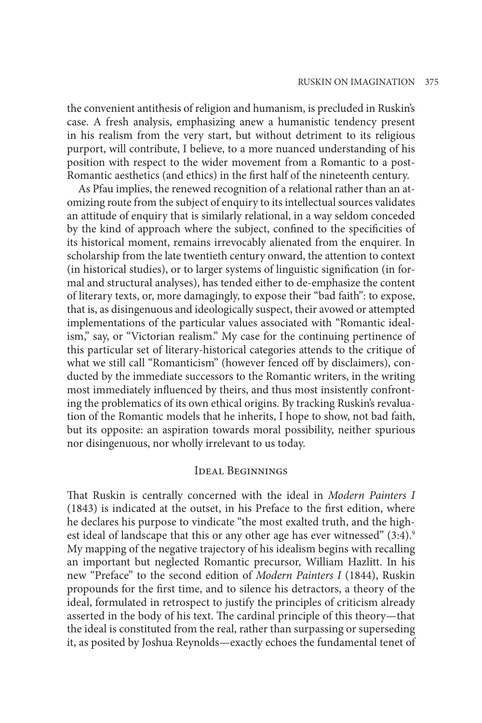the convenient antithesis of religion and humanism, is precluded in Ruskin's case. A fresh analysis, emphasizing anew a humanistic tendency present in his realism from the very start, but without detriment to its religious purport, will contribute, I believe, to a more nuanced understanding of his position with respect to the wider movement from a Romantic to a post-Romantic aesthetics (and ethics) in the first half of the nineteenth century.

As Pfau implies, the renewed recognition of a relational rather than an atomizing route from the subject of enquiry to its intellectual sources validates an attitude of enquiry that is similarly relational, in a way seldom conceded by the kind of approach where the subject, confined to the specificities of its historical moment, remains irrevocably alienated from the enquirer. In scholarship from the late twentieth century onward, the attention to context (in historical studies), or to larger systems of linguistic signification (in formal and structural analyses), has tended either to de-emphasize the content of literary texts, or, more damagingly, to expose their "bad faith": to expose, that is, as disingenuous and ideologically suspect, their avowed or attempted implementations of the particular values associated with "Romantic idealism," say, or "Victorian realism." My case for the continuing pertinence of this particular set of literary-historical categories attends to the critique of what we still call "Romanticism" (however fenced off by disclaimers), conducted by the immediate successors to the Romantic writers, in the writing most immediately influenced by theirs, and thus most insistently confronting the problematics of its own ethical origins. By tracking Ruskin's revaluation of the Romantic models that he inherits, I hope to show, not bad faith, but its opposite: an aspiration towards moral possibility, neither spurious nor disingenuous, nor wholly irrelevant to us today.

### Ideal Beginnings

That Ruskin is centrally concerned with the ideal in *Modern Painters I* (1843) is indicated at the outset, in his Preface to the first edition, where he declares his purpose to vindicate "the most exalted truth, and the highest ideal of landscape that this or any other age has ever witnessed" (3:4).9 My mapping of the negative trajectory of his idealism begins with recalling an important but neglected Romantic precursor, William Hazlitt. In his new "Preface" to the second edition of *Modern Painters I* (1844), Ruskin propounds for the first time, and to silence his detractors, a theory of the ideal, formulated in retrospect to justify the principles of criticism already asserted in the body of his text. The cardinal principle of this theory—that the ideal is constituted from the real, rather than surpassing or superseding it, as posited by Joshua Reynolds—exactly echoes the fundamental tenet of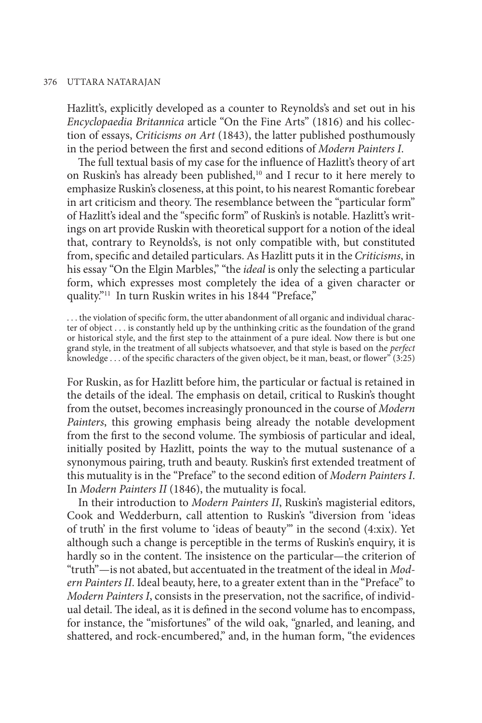Hazlitt's, explicitly developed as a counter to Reynolds's and set out in his *Encyclopaedia Britannica* article "On the Fine Arts" (1816) and his collection of essays, *Criticisms on Art* (1843), the latter published posthumously in the period between the first and second editions of *Modern Painters I*.

The full textual basis of my case for the influence of Hazlitt's theory of art on Ruskin's has already been published,<sup>10</sup> and I recur to it here merely to emphasize Ruskin's closeness, at this point, to his nearest Romantic forebear in art criticism and theory. The resemblance between the "particular form" of Hazlitt's ideal and the "specific form" of Ruskin's is notable. Hazlitt's writings on art provide Ruskin with theoretical support for a notion of the ideal that, contrary to Reynolds's, is not only compatible with, but constituted from, specific and detailed particulars. As Hazlitt puts it in the *Criticisms*, in his essay "On the Elgin Marbles," "the *ideal* is only the selecting a particular form, which expresses most completely the idea of a given character or quality."<sup>11</sup> In turn Ruskin writes in his 1844 "Preface,"

. . . the violation of specific form, the utter abandonment of all organic and individual character of object . . . is constantly held up by the unthinking critic as the foundation of the grand or historical style, and the first step to the attainment of a pure ideal. Now there is but one grand style, in the treatment of all subjects whatsoever, and that style is based on the *perfect* knowledge . . . of the specific characters of the given object, be it man, beast, or flower" (3:25)

For Ruskin, as for Hazlitt before him, the particular or factual is retained in the details of the ideal. The emphasis on detail, critical to Ruskin's thought from the outset, becomes increasingly pronounced in the course of *Modern Painters*, this growing emphasis being already the notable development from the first to the second volume. The symbiosis of particular and ideal, initially posited by Hazlitt, points the way to the mutual sustenance of a synonymous pairing, truth and beauty. Ruskin's first extended treatment of this mutuality is in the "Preface" to the second edition of *Modern Painters I*. In *Modern Painters II* (1846), the mutuality is focal.

In their introduction to *Modern Painters II*, Ruskin's magisterial editors, Cook and Wedderburn, call attention to Ruskin's "diversion from 'ideas of truth' in the first volume to 'ideas of beauty'" in the second (4:xix). Yet although such a change is perceptible in the terms of Ruskin's enquiry, it is hardly so in the content. The insistence on the particular—the criterion of "truth"—is not abated, but accentuated in the treatment of the ideal in *Modern Painters II*. Ideal beauty, here, to a greater extent than in the "Preface" to *Modern Painters I*, consists in the preservation, not the sacrifice, of individual detail. The ideal, as it is defined in the second volume has to encompass, for instance, the "misfortunes" of the wild oak, "gnarled, and leaning, and shattered, and rock-encumbered," and, in the human form, "the evidences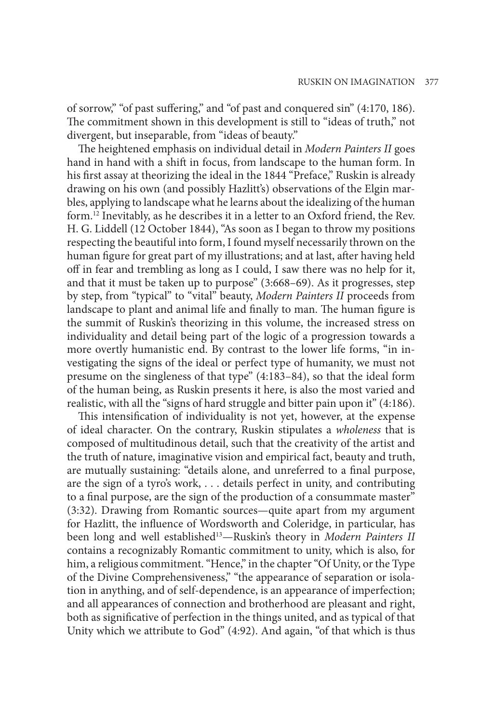of sorrow," "of past suffering," and "of past and conquered sin" (4:170, 186). The commitment shown in this development is still to "ideas of truth," not divergent, but inseparable, from "ideas of beauty."

The heightened emphasis on individual detail in *Modern Painters II* goes hand in hand with a shift in focus, from landscape to the human form. In his first assay at theorizing the ideal in the 1844 "Preface," Ruskin is already drawing on his own (and possibly Hazlitt's) observations of the Elgin marbles, applying to landscape what he learns about the idealizing of the human form.12 Inevitably, as he describes it in a letter to an Oxford friend, the Rev. H. G. Liddell (12 October 1844), "As soon as I began to throw my positions respecting the beautiful into form, I found myself necessarily thrown on the human figure for great part of my illustrations; and at last, after having held off in fear and trembling as long as I could, I saw there was no help for it, and that it must be taken up to purpose" (3:668–69). As it progresses, step by step, from "typical" to "vital" beauty, *Modern Painters II* proceeds from landscape to plant and animal life and finally to man. The human figure is the summit of Ruskin's theorizing in this volume, the increased stress on individuality and detail being part of the logic of a progression towards a more overtly humanistic end. By contrast to the lower life forms, "in investigating the signs of the ideal or perfect type of humanity, we must not presume on the singleness of that type" (4:183–84), so that the ideal form of the human being, as Ruskin presents it here, is also the most varied and realistic, with all the "signs of hard struggle and bitter pain upon it" (4:186).

This intensification of individuality is not yet, however, at the expense of ideal character. On the contrary, Ruskin stipulates a *wholeness* that is composed of multitudinous detail, such that the creativity of the artist and the truth of nature, imaginative vision and empirical fact, beauty and truth, are mutually sustaining: "details alone, and unreferred to a final purpose, are the sign of a tyro's work, . . . details perfect in unity, and contributing to a final purpose, are the sign of the production of a consummate master" (3:32). Drawing from Romantic sources—quite apart from my argument for Hazlitt, the influence of Wordsworth and Coleridge, in particular, has been long and well established13—Ruskin's theory in *Modern Painters II* contains a recognizably Romantic commitment to unity, which is also, for him, a religious commitment. "Hence," in the chapter "Of Unity, or the Type of the Divine Comprehensiveness," "the appearance of separation or isolation in anything, and of self-dependence, is an appearance of imperfection; and all appearances of connection and brotherhood are pleasant and right, both as significative of perfection in the things united, and as typical of that Unity which we attribute to God" (4:92). And again, "of that which is thus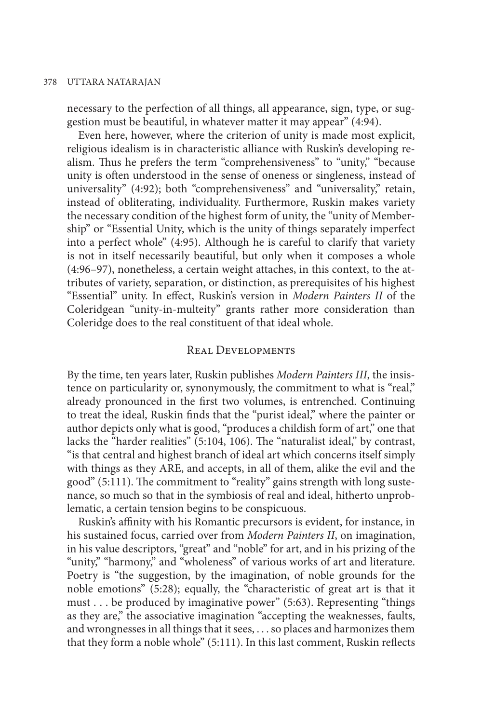necessary to the perfection of all things, all appearance, sign, type, or suggestion must be beautiful, in whatever matter it may appear" (4:94).

Even here, however, where the criterion of unity is made most explicit, religious idealism is in characteristic alliance with Ruskin's developing realism. Thus he prefers the term "comprehensiveness" to "unity," "because unity is often understood in the sense of oneness or singleness, instead of universality" (4:92); both "comprehensiveness" and "universality," retain, instead of obliterating, individuality. Furthermore, Ruskin makes variety the necessary condition of the highest form of unity, the "unity of Membership" or "Essential Unity, which is the unity of things separately imperfect into a perfect whole" (4:95). Although he is careful to clarify that variety is not in itself necessarily beautiful, but only when it composes a whole (4:96–97), nonetheless, a certain weight attaches, in this context, to the attributes of variety, separation, or distinction, as prerequisites of his highest "Essential" unity. In effect, Ruskin's version in *Modern Painters II* of the Coleridgean "unity-in-multeity" grants rather more consideration than Coleridge does to the real constituent of that ideal whole.

### Real Developments

By the time, ten years later, Ruskin publishes *Modern Painters III*, the insistence on particularity or, synonymously, the commitment to what is "real," already pronounced in the first two volumes, is entrenched. Continuing to treat the ideal, Ruskin finds that the "purist ideal," where the painter or author depicts only what is good, "produces a childish form of art," one that lacks the "harder realities" (5:104, 106). The "naturalist ideal," by contrast, "is that central and highest branch of ideal art which concerns itself simply with things as they ARE, and accepts, in all of them, alike the evil and the good" (5:111). The commitment to "reality" gains strength with long sustenance, so much so that in the symbiosis of real and ideal, hitherto unproblematic, a certain tension begins to be conspicuous.

Ruskin's affinity with his Romantic precursors is evident, for instance, in his sustained focus, carried over from *Modern Painters II*, on imagination, in his value descriptors, "great" and "noble" for art, and in his prizing of the "unity," "harmony," and "wholeness" of various works of art and literature. Poetry is "the suggestion, by the imagination, of noble grounds for the noble emotions" (5:28); equally, the "characteristic of great art is that it must . . . be produced by imaginative power" (5:63). Representing "things as they are," the associative imagination "accepting the weaknesses, faults, and wrongnesses in all things that it sees, . . . so places and harmonizes them that they form a noble whole" (5:111). In this last comment, Ruskin reflects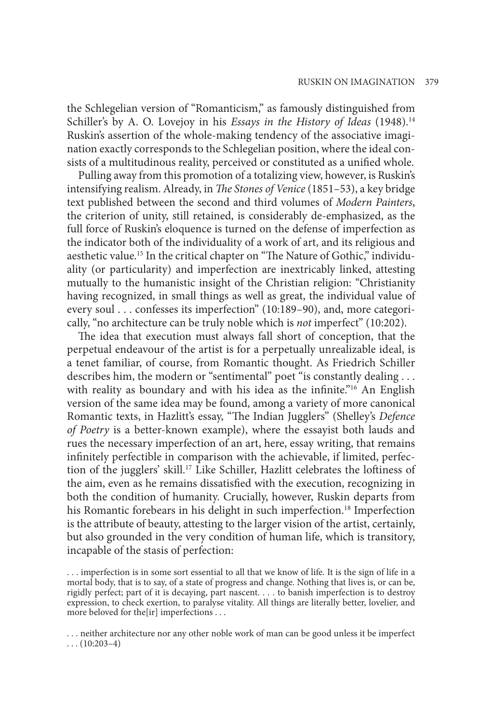the Schlegelian version of "Romanticism," as famously distinguished from Schiller's by A. O. Lovejoy in his *Essays in the History of Ideas* (1948).<sup>14</sup> Ruskin's assertion of the whole-making tendency of the associative imagination exactly corresponds to the Schlegelian position, where the ideal consists of a multitudinous reality, perceived or constituted as a unified whole.

Pulling away from this promotion of a totalizing view, however, is Ruskin's intensifying realism. Already, in *The Stones of Venice* (1851–53), a key bridge text published between the second and third volumes of *Modern Painters*, the criterion of unity, still retained, is considerably de-emphasized, as the full force of Ruskin's eloquence is turned on the defense of imperfection as the indicator both of the individuality of a work of art, and its religious and aesthetic value.15 In the critical chapter on "The Nature of Gothic," individuality (or particularity) and imperfection are inextricably linked, attesting mutually to the humanistic insight of the Christian religion: "Christianity having recognized, in small things as well as great, the individual value of every soul . . . confesses its imperfection" (10:189–90), and, more categorically, "no architecture can be truly noble which is *not* imperfect" (10:202).

The idea that execution must always fall short of conception, that the perpetual endeavour of the artist is for a perpetually unrealizable ideal, is a tenet familiar, of course, from Romantic thought. As Friedrich Schiller describes him, the modern or "sentimental" poet "is constantly dealing . . . with reality as boundary and with his idea as the infinite."<sup>16</sup> An English version of the same idea may be found, among a variety of more canonical Romantic texts, in Hazlitt's essay, "The Indian Jugglers" (Shelley's *Defence of Poetry* is a better-known example), where the essayist both lauds and rues the necessary imperfection of an art, here, essay writing, that remains infinitely perfectible in comparison with the achievable, if limited, perfection of the jugglers' skill.17 Like Schiller, Hazlitt celebrates the loftiness of the aim, even as he remains dissatisfied with the execution, recognizing in both the condition of humanity. Crucially, however, Ruskin departs from his Romantic forebears in his delight in such imperfection.<sup>18</sup> Imperfection is the attribute of beauty, attesting to the larger vision of the artist, certainly, but also grounded in the very condition of human life, which is transitory, incapable of the stasis of perfection:

. . . imperfection is in some sort essential to all that we know of life. It is the sign of life in a mortal body, that is to say, of a state of progress and change. Nothing that lives is, or can be, rigidly perfect; part of it is decaying, part nascent. . . . to banish imperfection is to destroy expression, to check exertion, to paralyse vitality. All things are literally better, lovelier, and more beloved for the[ir] imperfections . . .

. . . neither architecture nor any other noble work of man can be good unless it be imperfect  $\ldots$  (10:203–4)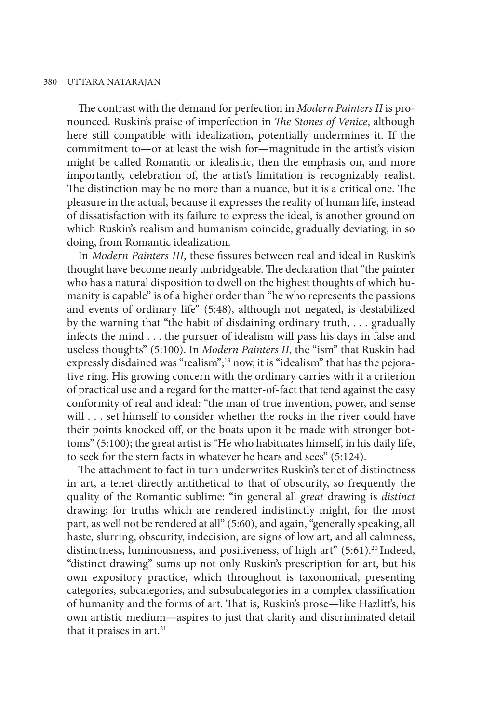The contrast with the demand for perfection in *Modern Painters II* is pronounced. Ruskin's praise of imperfection in *The Stones of Venice*, although here still compatible with idealization, potentially undermines it. If the commitment to—or at least the wish for—magnitude in the artist's vision might be called Romantic or idealistic, then the emphasis on, and more importantly, celebration of, the artist's limitation is recognizably realist. The distinction may be no more than a nuance, but it is a critical one. The pleasure in the actual, because it expresses the reality of human life, instead of dissatisfaction with its failure to express the ideal, is another ground on which Ruskin's realism and humanism coincide, gradually deviating, in so doing, from Romantic idealization.

In *Modern Painters III*, these fissures between real and ideal in Ruskin's thought have become nearly unbridgeable. The declaration that "the painter who has a natural disposition to dwell on the highest thoughts of which humanity is capable" is of a higher order than "he who represents the passions and events of ordinary life" (5:48), although not negated, is destabilized by the warning that "the habit of disdaining ordinary truth, . . . gradually infects the mind . . . the pursuer of idealism will pass his days in false and useless thoughts" (5:100). In *Modern Painters II*, the "ism" that Ruskin had expressly disdained was "realism";<sup>19</sup> now, it is "idealism" that has the pejorative ring. His growing concern with the ordinary carries with it a criterion of practical use and a regard for the matter-of-fact that tend against the easy conformity of real and ideal: "the man of true invention, power, and sense will . . . set himself to consider whether the rocks in the river could have their points knocked off, or the boats upon it be made with stronger bottoms" (5:100); the great artist is "He who habituates himself, in his daily life, to seek for the stern facts in whatever he hears and sees" (5:124).

The attachment to fact in turn underwrites Ruskin's tenet of distinctness in art, a tenet directly antithetical to that of obscurity, so frequently the quality of the Romantic sublime: "in general all *great* drawing is *distinct* drawing; for truths which are rendered indistinctly might, for the most part, as well not be rendered at all" (5:60), and again, "generally speaking, all haste, slurring, obscurity, indecision, are signs of low art, and all calmness, distinctness, luminousness, and positiveness, of high art"  $(5:61)$ <sup>20</sup> Indeed, "distinct drawing" sums up not only Ruskin's prescription for art, but his own expository practice, which throughout is taxonomical, presenting categories, subcategories, and subsubcategories in a complex classification of humanity and the forms of art. That is, Ruskin's prose—like Hazlitt's, his own artistic medium—aspires to just that clarity and discriminated detail that it praises in art. $21$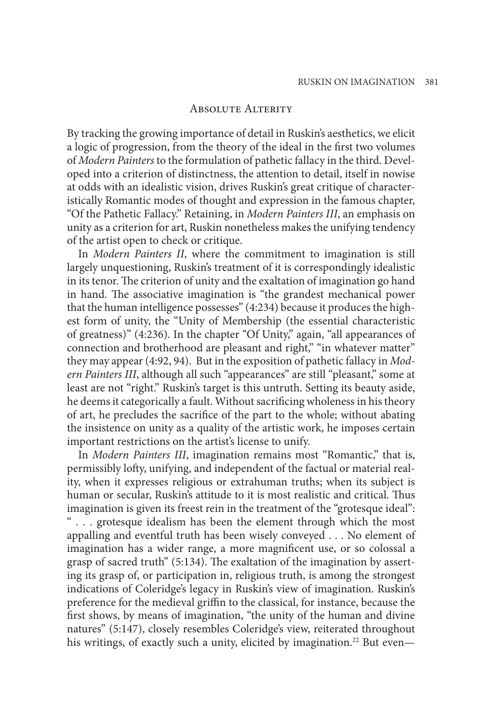### Absolute Alterity

By tracking the growing importance of detail in Ruskin's aesthetics, we elicit a logic of progression, from the theory of the ideal in the first two volumes of *Modern Painters* to the formulation of pathetic fallacy in the third. Developed into a criterion of distinctness, the attention to detail, itself in nowise at odds with an idealistic vision, drives Ruskin's great critique of characteristically Romantic modes of thought and expression in the famous chapter, "Of the Pathetic Fallacy." Retaining, in *Modern Painters III*, an emphasis on unity as a criterion for art, Ruskin nonetheless makes the unifying tendency of the artist open to check or critique.

In *Modern Painters II*, where the commitment to imagination is still largely unquestioning, Ruskin's treatment of it is correspondingly idealistic in its tenor. The criterion of unity and the exaltation of imagination go hand in hand. The associative imagination is "the grandest mechanical power that the human intelligence possesses" (4:234) because it produces the highest form of unity, the "Unity of Membership (the essential characteristic of greatness)" (4:236). In the chapter "Of Unity," again, "all appearances of connection and brotherhood are pleasant and right," "in whatever matter" they may appear (4:92, 94). But in the exposition of pathetic fallacy in *Modern Painters III*, although all such "appearances" are still "pleasant," some at least are not "right." Ruskin's target is this untruth. Setting its beauty aside, he deems it categorically a fault. Without sacrificing wholeness in his theory of art, he precludes the sacrifice of the part to the whole; without abating the insistence on unity as a quality of the artistic work, he imposes certain important restrictions on the artist's license to unify.

In *Modern Painters III*, imagination remains most "Romantic," that is, permissibly lofty, unifying, and independent of the factual or material reality, when it expresses religious or extrahuman truths; when its subject is human or secular, Ruskin's attitude to it is most realistic and critical. Thus imagination is given its freest rein in the treatment of the "grotesque ideal": " . . . grotesque idealism has been the element through which the most appalling and eventful truth has been wisely conveyed . . . No element of imagination has a wider range, a more magnificent use, or so colossal a grasp of sacred truth" (5:134). The exaltation of the imagination by asserting its grasp of, or participation in, religious truth, is among the strongest indications of Coleridge's legacy in Ruskin's view of imagination. Ruskin's preference for the medieval griffin to the classical, for instance, because the first shows, by means of imagination, "the unity of the human and divine natures" (5:147), closely resembles Coleridge's view, reiterated throughout his writings, of exactly such a unity, elicited by imagination.<sup>22</sup> But even—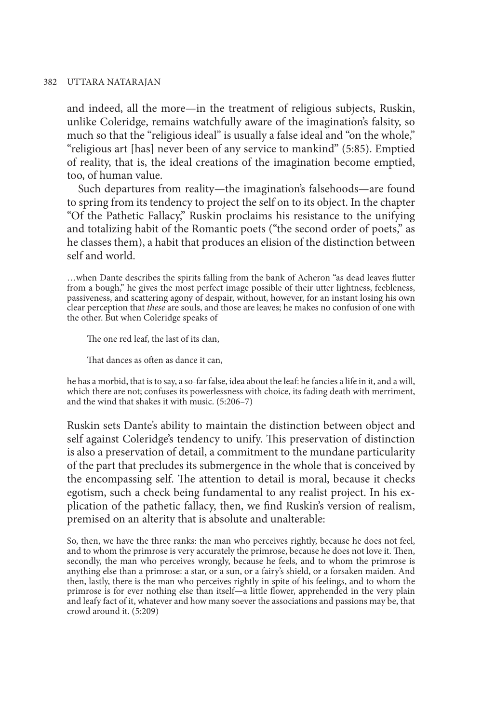and indeed, all the more—in the treatment of religious subjects, Ruskin, unlike Coleridge, remains watchfully aware of the imagination's falsity, so much so that the "religious ideal" is usually a false ideal and "on the whole," "religious art [has] never been of any service to mankind" (5:85). Emptied of reality, that is, the ideal creations of the imagination become emptied, too, of human value.

Such departures from reality—the imagination's falsehoods—are found to spring from its tendency to project the self on to its object. In the chapter "Of the Pathetic Fallacy," Ruskin proclaims his resistance to the unifying and totalizing habit of the Romantic poets ("the second order of poets," as he classes them), a habit that produces an elision of the distinction between self and world.

…when Dante describes the spirits falling from the bank of Acheron "as dead leaves flutter from a bough," he gives the most perfect image possible of their utter lightness, feebleness, passiveness, and scattering agony of despair, without, however, for an instant losing his own clear perception that *these* are souls, and those are leaves; he makes no confusion of one with the other. But when Coleridge speaks of

The one red leaf, the last of its clan,

That dances as often as dance it can,

he has a morbid, that is to say, a so-far false, idea about the leaf: he fancies a life in it, and a will, which there are not; confuses its powerlessness with choice, its fading death with merriment, and the wind that shakes it with music. (5:206–7)

Ruskin sets Dante's ability to maintain the distinction between object and self against Coleridge's tendency to unify. This preservation of distinction is also a preservation of detail, a commitment to the mundane particularity of the part that precludes its submergence in the whole that is conceived by the encompassing self. The attention to detail is moral, because it checks egotism, such a check being fundamental to any realist project. In his explication of the pathetic fallacy, then, we find Ruskin's version of realism, premised on an alterity that is absolute and unalterable:

So, then, we have the three ranks: the man who perceives rightly, because he does not feel, and to whom the primrose is very accurately the primrose, because he does not love it. Then, secondly, the man who perceives wrongly, because he feels, and to whom the primrose is anything else than a primrose: a star, or a sun, or a fairy's shield, or a forsaken maiden. And then, lastly, there is the man who perceives rightly in spite of his feelings, and to whom the primrose is for ever nothing else than itself—a little flower, apprehended in the very plain and leafy fact of it, whatever and how many soever the associations and passions may be, that crowd around it. (5:209)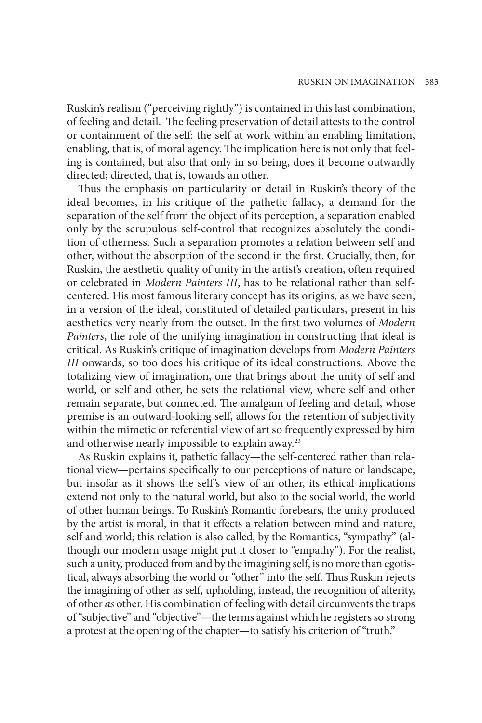Ruskin's realism ("perceiving rightly") is contained in this last combination, of feeling and detail. The feeling preservation of detail attests to the control or containment of the self: the self at work within an enabling limitation, enabling, that is, of moral agency. The implication here is not only that feeling is contained, but also that only in so being, does it become outwardly directed; directed, that is, towards an other.

Thus the emphasis on particularity or detail in Ruskin's theory of the ideal becomes, in his critique of the pathetic fallacy, a demand for the separation of the self from the object of its perception, a separation enabled only by the scrupulous self-control that recognizes absolutely the condition of otherness. Such a separation promotes a relation between self and other, without the absorption of the second in the first. Crucially, then, for Ruskin, the aesthetic quality of unity in the artist's creation, often required or celebrated in *Modern Painters III*, has to be relational rather than selfcentered. His most famous literary concept has its origins, as we have seen, in a version of the ideal, constituted of detailed particulars, present in his aesthetics very nearly from the outset. In the first two volumes of *Modern Painters*, the role of the unifying imagination in constructing that ideal is critical. As Ruskin's critique of imagination develops from *Modern Painters III* onwards, so too does his critique of its ideal constructions. Above the totalizing view of imagination, one that brings about the unity of self and world, or self and other, he sets the relational view, where self and other remain separate, but connected. The amalgam of feeling and detail, whose premise is an outward-looking self, allows for the retention of subjectivity within the mimetic or referential view of art so frequently expressed by him and otherwise nearly impossible to explain away.<sup>23</sup>

As Ruskin explains it, pathetic fallacy—the self-centered rather than relational view—pertains specifically to our perceptions of nature or landscape, but insofar as it shows the self's view of an other, its ethical implications extend not only to the natural world, but also to the social world, the world of other human beings. To Ruskin's Romantic forebears, the unity produced by the artist is moral, in that it effects a relation between mind and nature, self and world; this relation is also called, by the Romantics, "sympathy" (although our modern usage might put it closer to "empathy"). For the realist, such a unity, produced from and by the imagining self, is no more than egotistical, always absorbing the world or "other" into the self. Thus Ruskin rejects the imagining of other as self, upholding, instead, the recognition of alterity, of other *as* other. His combination of feeling with detail circumvents the traps of "subjective" and "objective"—the terms against which he registers so strong a protest at the opening of the chapter—to satisfy his criterion of "truth."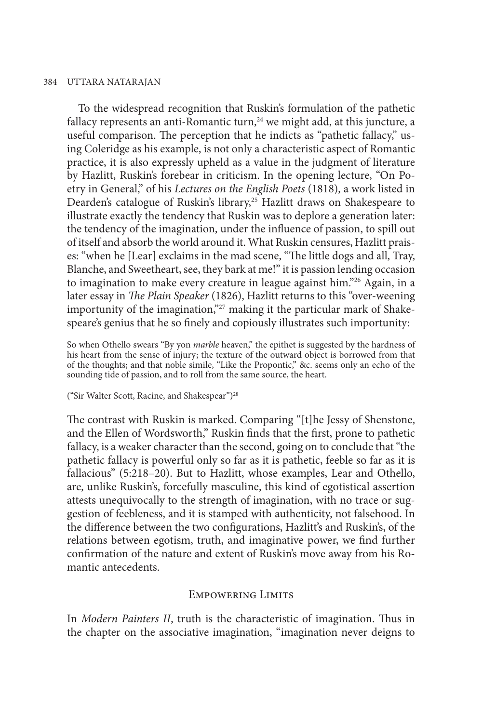To the widespread recognition that Ruskin's formulation of the pathetic fallacy represents an anti-Romantic turn, $24$  we might add, at this juncture, a useful comparison. The perception that he indicts as "pathetic fallacy," using Coleridge as his example, is not only a characteristic aspect of Romantic practice, it is also expressly upheld as a value in the judgment of literature by Hazlitt, Ruskin's forebear in criticism. In the opening lecture, "On Poetry in General," of his *Lectures on the English Poets* (1818), a work listed in Dearden's catalogue of Ruskin's library,<sup>25</sup> Hazlitt draws on Shakespeare to illustrate exactly the tendency that Ruskin was to deplore a generation later: the tendency of the imagination, under the influence of passion, to spill out of itself and absorb the world around it. What Ruskin censures, Hazlitt praises: "when he [Lear] exclaims in the mad scene, "The little dogs and all, Tray, Blanche, and Sweetheart, see, they bark at me!" it is passion lending occasion to imagination to make every creature in league against him."<sup>26</sup> Again, in a later essay in *The Plain Speaker* (1826), Hazlitt returns to this "over-weening importunity of the imagination,"<sup>27</sup> making it the particular mark of Shakespeare's genius that he so finely and copiously illustrates such importunity:

So when Othello swears "By yon *marble* heaven," the epithet is suggested by the hardness of his heart from the sense of injury; the texture of the outward object is borrowed from that of the thoughts; and that noble simile, "Like the Propontic," &c. seems only an echo of the sounding tide of passion, and to roll from the same source, the heart.

("Sir Walter Scott, Racine, and Shakespear")28

The contrast with Ruskin is marked. Comparing "[t]he Jessy of Shenstone, and the Ellen of Wordsworth," Ruskin finds that the first, prone to pathetic fallacy, is a weaker character than the second, going on to conclude that "the pathetic fallacy is powerful only so far as it is pathetic, feeble so far as it is fallacious" (5:218–20). But to Hazlitt, whose examples, Lear and Othello, are, unlike Ruskin's, forcefully masculine, this kind of egotistical assertion attests unequivocally to the strength of imagination, with no trace or suggestion of feebleness, and it is stamped with authenticity, not falsehood. In the difference between the two configurations, Hazlitt's and Ruskin's, of the relations between egotism, truth, and imaginative power, we find further confirmation of the nature and extent of Ruskin's move away from his Romantic antecedents.

### Empowering Limits

In *Modern Painters II*, truth is the characteristic of imagination. Thus in the chapter on the associative imagination, "imagination never deigns to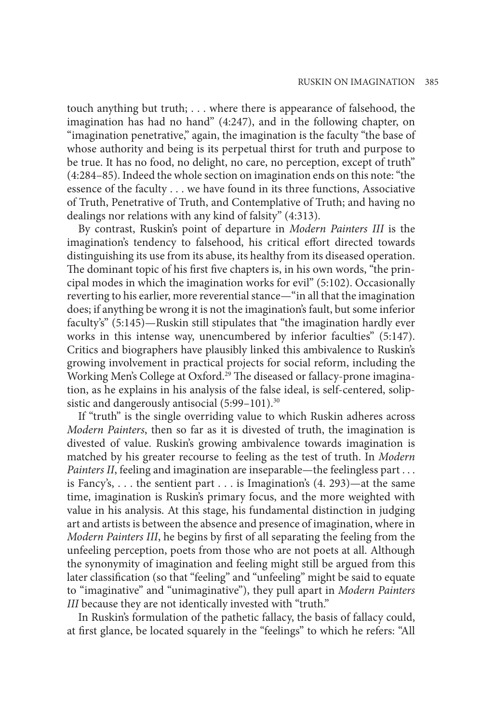touch anything but truth; . . . where there is appearance of falsehood, the imagination has had no hand" (4:247), and in the following chapter, on "imagination penetrative," again, the imagination is the faculty "the base of whose authority and being is its perpetual thirst for truth and purpose to be true. It has no food, no delight, no care, no perception, except of truth" (4:284–85). Indeed the whole section on imagination ends on this note: "the essence of the faculty . . . we have found in its three functions, Associative of Truth, Penetrative of Truth, and Contemplative of Truth; and having no dealings nor relations with any kind of falsity" (4:313).

By contrast, Ruskin's point of departure in *Modern Painters III* is the imagination's tendency to falsehood, his critical effort directed towards distinguishing its use from its abuse, its healthy from its diseased operation. The dominant topic of his first five chapters is, in his own words, "the principal modes in which the imagination works for evil" (5:102). Occasionally reverting to his earlier, more reverential stance—"in all that the imagination does; if anything be wrong it is not the imagination's fault, but some inferior faculty's" (5:145)—Ruskin still stipulates that "the imagination hardly ever works in this intense way, unencumbered by inferior faculties" (5:147). Critics and biographers have plausibly linked this ambivalence to Ruskin's growing involvement in practical projects for social reform, including the Working Men's College at Oxford.<sup>29</sup> The diseased or fallacy-prone imagination, as he explains in his analysis of the false ideal, is self-centered, solipsistic and dangerously antisocial (5:99-101).<sup>30</sup>

If "truth" is the single overriding value to which Ruskin adheres across *Modern Painters*, then so far as it is divested of truth, the imagination is divested of value. Ruskin's growing ambivalence towards imagination is matched by his greater recourse to feeling as the test of truth. In *Modern Painters II*, feeling and imagination are inseparable—the feelingless part . . . is Fancy's,  $\dots$  the sentient part  $\dots$  is Imagination's (4. 293)—at the same time, imagination is Ruskin's primary focus, and the more weighted with value in his analysis. At this stage, his fundamental distinction in judging art and artists is between the absence and presence of imagination, where in *Modern Painters III*, he begins by first of all separating the feeling from the unfeeling perception, poets from those who are not poets at all. Although the synonymity of imagination and feeling might still be argued from this later classification (so that "feeling" and "unfeeling" might be said to equate to "imaginative" and "unimaginative"), they pull apart in *Modern Painters III* because they are not identically invested with "truth."

In Ruskin's formulation of the pathetic fallacy, the basis of fallacy could, at first glance, be located squarely in the "feelings" to which he refers: "All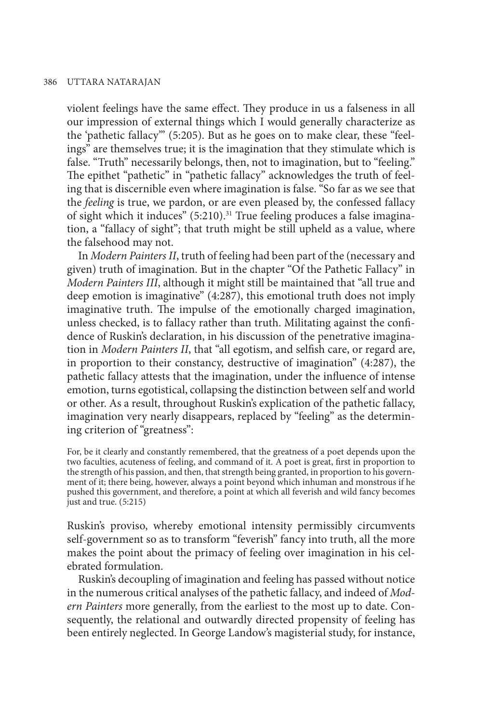violent feelings have the same effect. They produce in us a falseness in all our impression of external things which I would generally characterize as the 'pathetic fallacy'" (5:205). But as he goes on to make clear, these "feelings" are themselves true; it is the imagination that they stimulate which is false. "Truth" necessarily belongs, then, not to imagination, but to "feeling." The epithet "pathetic" in "pathetic fallacy" acknowledges the truth of feeling that is discernible even where imagination is false. "So far as we see that the *feeling* is true, we pardon, or are even pleased by, the confessed fallacy of sight which it induces"  $(5:210).$ <sup>31</sup> True feeling produces a false imagination, a "fallacy of sight"; that truth might be still upheld as a value, where the falsehood may not.

In *Modern Painters II*, truth of feeling had been part of the (necessary and given) truth of imagination. But in the chapter "Of the Pathetic Fallacy" in *Modern Painters III*, although it might still be maintained that "all true and deep emotion is imaginative" (4:287), this emotional truth does not imply imaginative truth. The impulse of the emotionally charged imagination, unless checked, is to fallacy rather than truth. Militating against the confidence of Ruskin's declaration, in his discussion of the penetrative imagination in *Modern Painters II*, that "all egotism, and selfish care, or regard are, in proportion to their constancy, destructive of imagination" (4:287), the pathetic fallacy attests that the imagination, under the influence of intense emotion, turns egotistical, collapsing the distinction between self and world or other. As a result, throughout Ruskin's explication of the pathetic fallacy, imagination very nearly disappears, replaced by "feeling" as the determining criterion of "greatness":

For, be it clearly and constantly remembered, that the greatness of a poet depends upon the two faculties, acuteness of feeling, and command of it. A poet is great, first in proportion to the strength of his passion, and then, that strength being granted, in proportion to his government of it; there being, however, always a point beyond which inhuman and monstrous if he pushed this government, and therefore, a point at which all feverish and wild fancy becomes just and true. (5:215)

Ruskin's proviso, whereby emotional intensity permissibly circumvents self-government so as to transform "feverish" fancy into truth, all the more makes the point about the primacy of feeling over imagination in his celebrated formulation.

Ruskin's decoupling of imagination and feeling has passed without notice in the numerous critical analyses of the pathetic fallacy, and indeed of *Modern Painters* more generally, from the earliest to the most up to date. Consequently, the relational and outwardly directed propensity of feeling has been entirely neglected. In George Landow's magisterial study, for instance,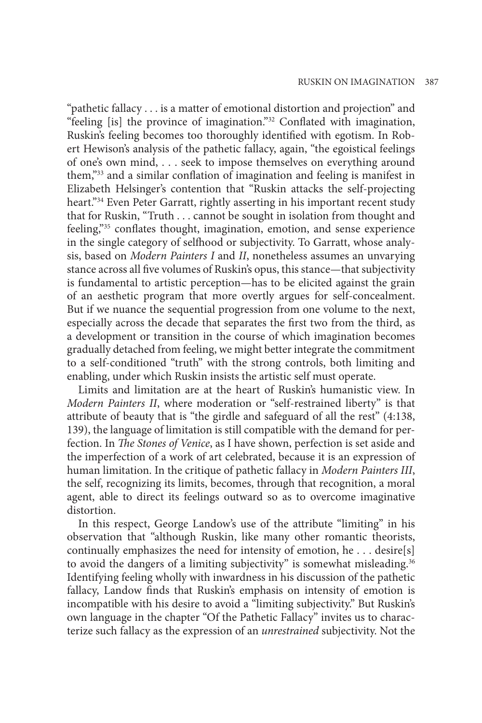"pathetic fallacy . . . is a matter of emotional distortion and projection" and "feeling [is] the province of imagination."<sup>32</sup> Conflated with imagination, Ruskin's feeling becomes too thoroughly identified with egotism. In Robert Hewison's analysis of the pathetic fallacy, again, "the egoistical feelings of one's own mind, . . . seek to impose themselves on everything around them,"33 and a similar conflation of imagination and feeling is manifest in Elizabeth Helsinger's contention that "Ruskin attacks the self-projecting heart."<sup>34</sup> Even Peter Garratt, rightly asserting in his important recent study that for Ruskin, "Truth . . . cannot be sought in isolation from thought and feeling,"35 conflates thought, imagination, emotion, and sense experience in the single category of selfhood or subjectivity. To Garratt, whose analysis, based on *Modern Painters I* and *II*, nonetheless assumes an unvarying stance across all five volumes of Ruskin's opus, this stance—that subjectivity is fundamental to artistic perception—has to be elicited against the grain of an aesthetic program that more overtly argues for self-concealment. But if we nuance the sequential progression from one volume to the next, especially across the decade that separates the first two from the third, as a development or transition in the course of which imagination becomes gradually detached from feeling, we might better integrate the commitment to a self-conditioned "truth" with the strong controls, both limiting and enabling, under which Ruskin insists the artistic self must operate.

Limits and limitation are at the heart of Ruskin's humanistic view. In *Modern Painters II*, where moderation or "self-restrained liberty" is that attribute of beauty that is "the girdle and safeguard of all the rest" (4:138, 139), the language of limitation is still compatible with the demand for perfection. In *The Stones of Venice*, as I have shown, perfection is set aside and the imperfection of a work of art celebrated, because it is an expression of human limitation. In the critique of pathetic fallacy in *Modern Painters III*, the self, recognizing its limits, becomes, through that recognition, a moral agent, able to direct its feelings outward so as to overcome imaginative distortion.

In this respect, George Landow's use of the attribute "limiting" in his observation that "although Ruskin, like many other romantic theorists, continually emphasizes the need for intensity of emotion, he . . . desire[s] to avoid the dangers of a limiting subjectivity" is somewhat misleading.<sup>36</sup> Identifying feeling wholly with inwardness in his discussion of the pathetic fallacy, Landow finds that Ruskin's emphasis on intensity of emotion is incompatible with his desire to avoid a "limiting subjectivity." But Ruskin's own language in the chapter "Of the Pathetic Fallacy" invites us to characterize such fallacy as the expression of an *unrestrained* subjectivity. Not the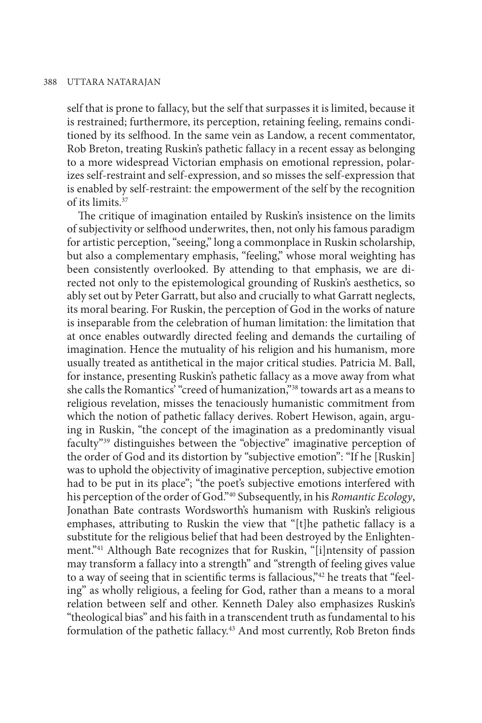self that is prone to fallacy, but the self that surpasses it is limited, because it is restrained; furthermore, its perception, retaining feeling, remains conditioned by its selfhood. In the same vein as Landow, a recent commentator, Rob Breton, treating Ruskin's pathetic fallacy in a recent essay as belonging to a more widespread Victorian emphasis on emotional repression, polarizes self-restraint and self-expression, and so misses the self-expression that is enabled by self-restraint: the empowerment of the self by the recognition of its limits.37

The critique of imagination entailed by Ruskin's insistence on the limits of subjectivity or selfhood underwrites, then, not only his famous paradigm for artistic perception, "seeing," long a commonplace in Ruskin scholarship, but also a complementary emphasis, "feeling," whose moral weighting has been consistently overlooked. By attending to that emphasis, we are directed not only to the epistemological grounding of Ruskin's aesthetics, so ably set out by Peter Garratt, but also and crucially to what Garratt neglects, its moral bearing. For Ruskin, the perception of God in the works of nature is inseparable from the celebration of human limitation: the limitation that at once enables outwardly directed feeling and demands the curtailing of imagination. Hence the mutuality of his religion and his humanism, more usually treated as antithetical in the major critical studies. Patricia M. Ball, for instance, presenting Ruskin's pathetic fallacy as a move away from what she calls the Romantics' "creed of humanization,"38 towards art as a means to religious revelation, misses the tenaciously humanistic commitment from which the notion of pathetic fallacy derives. Robert Hewison, again, arguing in Ruskin, "the concept of the imagination as a predominantly visual faculty"39 distinguishes between the "objective" imaginative perception of the order of God and its distortion by "subjective emotion": "If he [Ruskin] was to uphold the objectivity of imaginative perception, subjective emotion had to be put in its place"; "the poet's subjective emotions interfered with his perception of the order of God."40 Subsequently, in his *Romantic Ecology*, Jonathan Bate contrasts Wordsworth's humanism with Ruskin's religious emphases, attributing to Ruskin the view that "[t]he pathetic fallacy is a substitute for the religious belief that had been destroyed by the Enlightenment."41 Although Bate recognizes that for Ruskin, "[i]ntensity of passion may transform a fallacy into a strength" and "strength of feeling gives value to a way of seeing that in scientific terms is fallacious,"<sup>42</sup> he treats that "feeling" as wholly religious, a feeling for God, rather than a means to a moral relation between self and other. Kenneth Daley also emphasizes Ruskin's "theological bias" and his faith in a transcendent truth as fundamental to his formulation of the pathetic fallacy.<sup>43</sup> And most currently, Rob Breton finds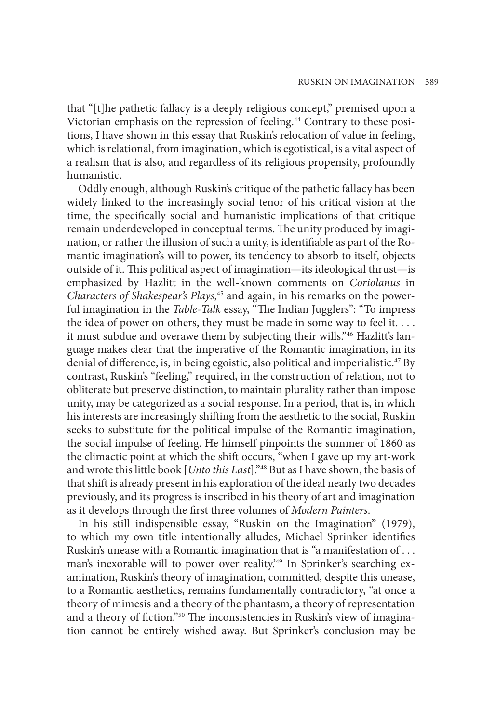that "[t]he pathetic fallacy is a deeply religious concept," premised upon a Victorian emphasis on the repression of feeling.<sup>44</sup> Contrary to these positions, I have shown in this essay that Ruskin's relocation of value in feeling, which is relational, from imagination, which is egotistical, is a vital aspect of a realism that is also, and regardless of its religious propensity, profoundly humanistic.

Oddly enough, although Ruskin's critique of the pathetic fallacy has been widely linked to the increasingly social tenor of his critical vision at the time, the specifically social and humanistic implications of that critique remain underdeveloped in conceptual terms. The unity produced by imagination, or rather the illusion of such a unity, is identifiable as part of the Romantic imagination's will to power, its tendency to absorb to itself, objects outside of it. This political aspect of imagination—its ideological thrust—is emphasized by Hazlitt in the well-known comments on *Coriolanus* in *Characters of Shakespear's Plays*, 45 and again, in his remarks on the powerful imagination in the *Table-Talk* essay, "The Indian Jugglers": "To impress the idea of power on others, they must be made in some way to feel it. . . . it must subdue and overawe them by subjecting their wills."46 Hazlitt's language makes clear that the imperative of the Romantic imagination, in its denial of difference, is, in being egoistic, also political and imperialistic.<sup>47</sup> By contrast, Ruskin's "feeling," required, in the construction of relation, not to obliterate but preserve distinction, to maintain plurality rather than impose unity, may be categorized as a social response. In a period, that is, in which his interests are increasingly shifting from the aesthetic to the social, Ruskin seeks to substitute for the political impulse of the Romantic imagination, the social impulse of feeling. He himself pinpoints the summer of 1860 as the climactic point at which the shift occurs, "when I gave up my art-work and wrote this little book [*Unto this Last*]."48 But as I have shown, the basis of that shift is already present in his exploration of the ideal nearly two decades previously, and its progress is inscribed in his theory of art and imagination as it develops through the first three volumes of *Modern Painters*.

In his still indispensible essay, "Ruskin on the Imagination" (1979), to which my own title intentionally alludes, Michael Sprinker identifies Ruskin's unease with a Romantic imagination that is "a manifestation of . . . man's inexorable will to power over reality.<sup>49</sup> In Sprinker's searching examination, Ruskin's theory of imagination, committed, despite this unease, to a Romantic aesthetics, remains fundamentally contradictory, "at once a theory of mimesis and a theory of the phantasm, a theory of representation and a theory of fiction."50 The inconsistencies in Ruskin's view of imagination cannot be entirely wished away. But Sprinker's conclusion may be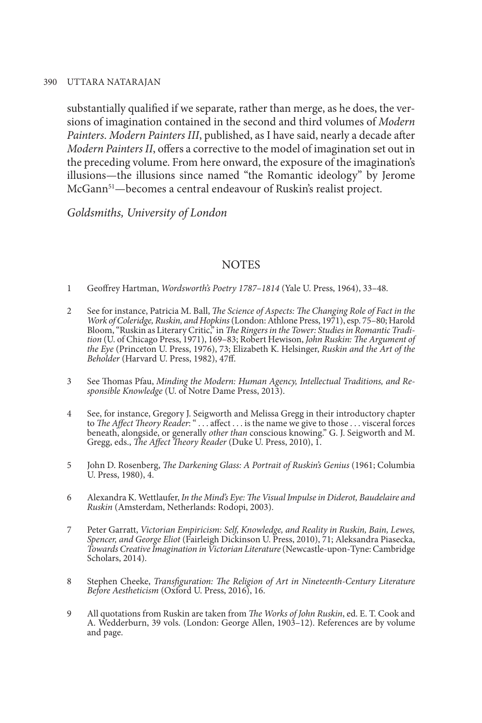substantially qualified if we separate, rather than merge, as he does, the versions of imagination contained in the second and third volumes of *Modern Painters*. *Modern Painters III*, published, as I have said, nearly a decade after *Modern Painters II*, offers a corrective to the model of imagination set out in the preceding volume. From here onward, the exposure of the imagination's illusions—the illusions since named "the Romantic ideology" by Jerome McGann<sup>51</sup>—becomes a central endeavour of Ruskin's realist project.

*Goldsmiths, University of London*

# **NOTES**

- 1 Geoffrey Hartman, *Wordsworth's Poetry 1787–1814* (Yale U. Press, 1964), 33–48.
- 2 See for instance, Patricia M. Ball, *The Science of Aspects: The Changing Role of Fact in the Work of Coleridge, Ruskin, and Hopkins* (London: Athlone Press, 1971), esp. 75–80; Harold Bloom, "Ruskin as Literary Critic," in *The Ringers in the Tower: Studies in Romantic Tradition* (U. of Chicago Press, 1971), 169–83; Robert Hewison, *John Ruskin: The Argument of the Eye* (Princeton U. Press, 1976), 73; Elizabeth K. Helsinger, *Ruskin and the Art of the Beholder* (Harvard U. Press, 1982), 47ff.
- 3 See Thomas Pfau, *Minding the Modern: Human Agency, Intellectual Traditions, and Responsible Knowledge* (U. of Notre Dame Press, 2013).
- 4 See, for instance, Gregory J. Seigworth and Melissa Gregg in their introductory chapter to *The Affect Theory Reader*: " . . . affect . . . is the name we give to those . . . visceral forces beneath, alongside, or generally *other than* conscious knowing." G. J. Seigworth and M. Gregg, eds., *The Affect Theory Reader* (Duke U. Press, 2010), 1.
- 5 John D. Rosenberg, *The Darkening Glass: A Portrait of Ruskin's Genius* (1961; Columbia U. Press, 1980), 4.
- 6 Alexandra K. Wettlaufer, *In the Mind's Eye: The Visual Impulse in Diderot, Baudelaire and Ruskin* (Amsterdam, Netherlands: Rodopi, 2003).
- 7 Peter Garratt, *Victorian Empiricism: Self, Knowledge, and Reality in Ruskin, Bain, Lewes, Spencer, and George Eliot* (Fairleigh Dickinson U. Press, 2010), 71; Aleksandra Piasecka, *Towards Creative Imagination in Victorian Literature* (Newcastle-upon-Tyne: Cambridge Scholars, 2014).
- 8 Stephen Cheeke, *Transfiguration: The Religion of Art in Nineteenth-Century Literature Before Aestheticism* (Oxford U. Press, 2016), 16.
- 9 All quotations from Ruskin are taken from *The Works of John Ruskin*, ed. E. T. Cook and A. Wedderburn, 39 vols. (London: George Allen, 1903–12). References are by volume and page.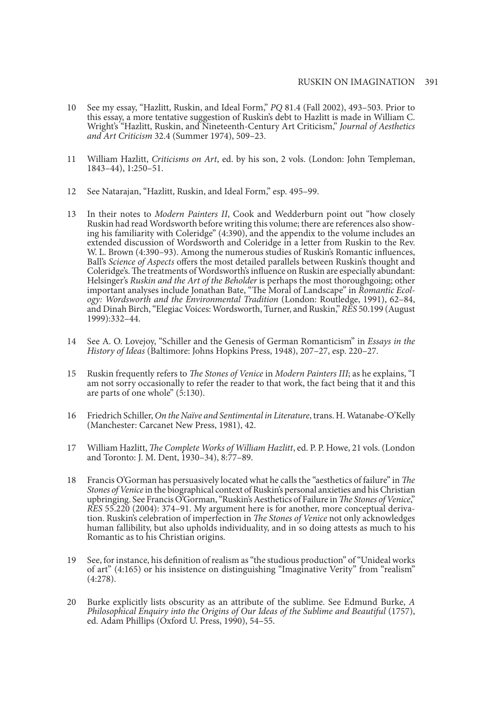- 10 See my essay, "Hazlitt, Ruskin, and Ideal Form," *PQ* 81.4 (Fall 2002), 493–503. Prior to this essay, a more tentative suggestion of Ruskin's debt to Hazlitt is made in William C. Wright's "Hazlitt, Ruskin, and Nineteenth-Century Art Criticism," *Journal of Aesthetics and Art Criticism* 32.4 (Summer 1974), 509–23.
- 11 William Hazlitt, *Criticisms on Art*, ed. by his son, 2 vols. (London: John Templeman, 1843–44), 1:250–51.
- 12 See Natarajan, "Hazlitt, Ruskin, and Ideal Form," esp. 495–99.
- 13 In their notes to *Modern Painters II*, Cook and Wedderburn point out "how closely ing his familiarity with Coleridge" (4:390), and the appendix to the volume includes an extended discussion of Wordsworth and Coleridge in a letter from Ruskin to the Rev. W. L. Brown (4:390–93). Among the numerous studies of Ruskin's Romantic influences, Ball's *Science of Aspects* offers the most detailed parallels between Ruskin's thought and Coleridge's. The treatments of Wordsworth's influence on Ruskin are especially abundant: Helsinger's *Ruskin and the Art of the Beholder* is perhaps the most thoroughgoing; other ogy: Wordsworth and the Environmental Tradition (London: Routledge, 1991), 62-84, and Dinah Birch, "Elegiac Voices: Wordsworth, Turner, and Ruskin," *RES* 50.199 (August 1999):332–44.
- 14 See A. O. Lovejoy, "Schiller and the Genesis of German Romanticism" in *Essays in the History of Ideas* (Baltimore: Johns Hopkins Press, 1948), 207–27, esp. 220–27.
- 15 Ruskin frequently refers to *The Stones of Venice* in *Modern Painters III*; as he explains, "I am not sorry occasionally to refer the reader to that work, the fact being that it and this are parts of one whole" (5:130).
- 16 Friedrich Schiller, *On the Naïve and Sentimental in Literature*, trans. H. Watanabe-O'Kelly (Manchester: Carcanet New Press, 1981), 42.
- 17 William Hazlitt, *The Complete Works of William Hazlitt*, ed. P. P. Howe, 21 vols. (London and Toronto: J. M. Dent, 1930–34), 8:77–89.
- 18 Francis O'Gorman has persuasively located what he calls the "aesthetics of failure" in *The Stones of Venice* in the biographical context of Ruskin's personal anxieties and his Christian upbringing. See Francis O'Gorman, "Ruskin's Aesthetics of Failure in *The Stones of Venice*," *RES* 55.220 (2004): 374–91. My argument here is for another, more conceptual derivation. Ruskin's celebration of imperfection in *The Stones of Venice* not only acknowledges human fallibility, but also upholds individuality, and in so doing attests as much to his Romantic as to his Christian origins.
- 19 See, for instance, his definition of realism as "the studious production" of "Unideal works of art" (4:165) or his insistence on distinguishing "Imaginative Verity" from "realism" (4:278).
- 20 Burke explicitly lists obscurity as an attribute of the sublime. See Edmund Burke, *A Philosophical Enquiry into the Origins of Our Ideas of the Sublime and Beautiful* (1757), ed. Adam Phillips (Oxford U. Press, 1990), 54–55.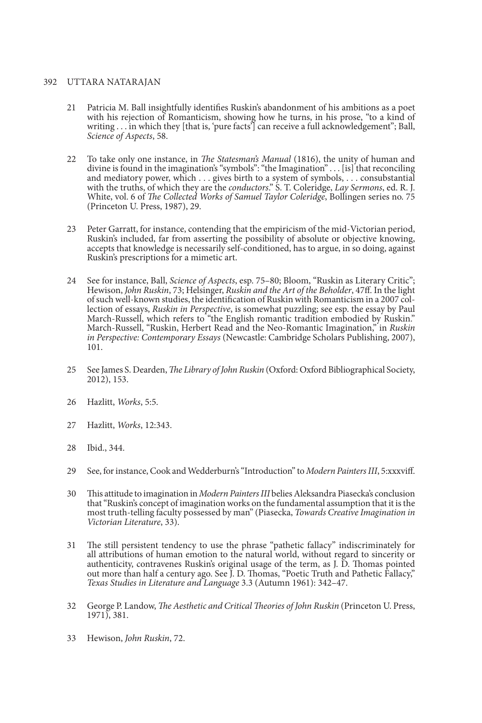- 21 Patricia M. Ball insightfully identifies Ruskin's abandonment of his ambitions as a poet with his rejection of Romanticism, showing how he turns, in his prose, "to a kind of writing  $\ldots$  in which they [that is, 'pure facts'] can receive a full acknowledgement"; Ball, *Science of Aspects*, 58.
- 22 To take only one instance, in *The Statesman's Manual* (1816), the unity of human and divine is found in the imagination's "symbols": "the Imagination" . . . [is] that reconciling and mediatory power, which . . . gives birth to a system of symbols, . . . consubstantial with the truths, of which they are the *conductors*." S. T. Coleridge, *Lay Sermons*, ed. R. J. White, vol. 6 of *The Collected Works of Samuel Taylor Coleridge*, Bollingen series no. 75 (Princeton U. Press, 1987), 29.
- 23 Peter Garratt, for instance, contending that the empiricism of the mid-Victorian period, Ruskin's included, far from asserting the possibility of absolute or objective knowing, accepts that knowledge is necessarily self-conditioned, has to argue, in so doing, against Ruskin's prescriptions for a mimetic art.
- 24 See for instance, Ball, *Science of Aspects*, esp. 75–80; Bloom, "Ruskin as Literary Critic"; Hewison, *John Ruskin*, 73; Helsinger, *Ruskin and the Art of the Beholder*, 47ff. In the light of such well-known studies, the identification of Ruskin with Romanticism in a 2007 colof such well-known studies, the identification of Ruskin with Romanticism in a 2007 col- lection of essays, *Ruskin in Perspective*, is somewhat puzzling; see esp. the essay by Paul March-Russell, which refers to "the English romantic tradition embodied by Ruskin." March-Russell, "Ruskin, Herbert Read and the Neo-Romantic Imagination," in *Ruskin in Perspective: Contemporary Essays* (Newcastle: Cambridge Scholars Publishing, 2007), 101.
- 25 See James S. Dearden, *The Library of John Ruskin* (Oxford: Oxford Bibliographical Society, 2012), 153.
- 26 Hazlitt, *Works*, 5:5.
- 27 Hazlitt, *Works*, 12:343.
- 28 Ibid., 344.
- 29 See, for instance, Cook and Wedderburn's "Introduction" to *Modern Painters III*, 5:xxxviff.
- 30 This attitude to imagination in *Modern Painters III* belies Aleksandra Piasecka's conclusion that "Ruskin's concept of imagination works on the fundamental assumption that it is the most truth-telling faculty possessed by man" (Piasecka, *Towards Creative Imagination in Victorian Literature*, 33).
- 31 The still persistent tendency to use the phrase "pathetic fallacy" indiscriminately for all attributions of human emotion to the natural world, without regard to sincerity or authenticity, contravenes Ruskin's original usage of the term, as J. D. Thomas pointed out more than half a century ago. See J. D. Thomas, "Poetic Truth and Pathetic Fallacy," *Texas Studies in Literature and Language* 3.3 (Autumn 1961): 342–47.
- 32 George P. Landow, *The Aesthetic and Critical Theories of John Ruskin* (Princeton U. Press, 1971), 381.
- 33 Hewison, *John Ruskin*, 72.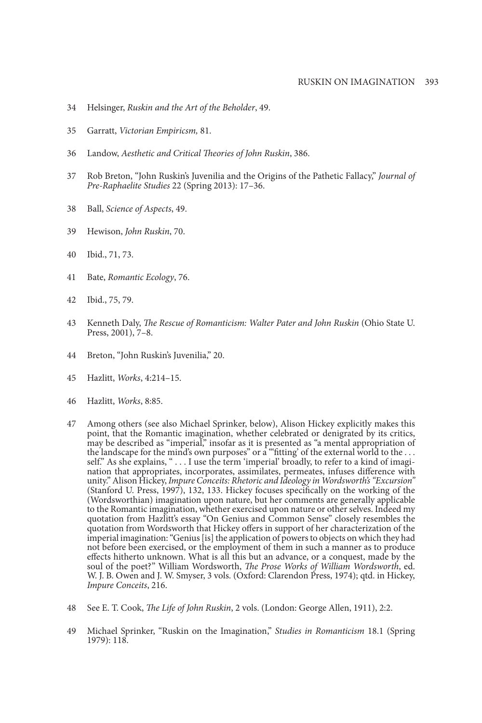- 34 Helsinger, *Ruskin and the Art of the Beholder*, 49.
- 35 Garratt, *Victorian Empiricsm,* 81.
- 36 Landow, *Aesthetic and Critical Theories of John Ruskin*, 386.
- 37 Rob Breton, "John Ruskin's Juvenilia and the Origins of the Pathetic Fallacy," *Journal of Pre-Raphaelite Studies* 22 (Spring 2013): 17–36.
- 38 Ball, *Science of Aspects*, 49.
- 39 Hewison, *John Ruskin*, 70.
- 40 Ibid., 71, 73.
- 41 Bate, *Romantic Ecology*, 76.
- 42 Ibid., 75, 79.
- 43 Kenneth Daly, *The Rescue of Romanticism: Walter Pater and John Ruskin* (Ohio State U. Press, 2001), 7–8.
- 44 Breton, "John Ruskin's Juvenilia," 20.
- 45 Hazlitt, *Works*, 4:214–15.
- 46 Hazlitt, *Works*, 8:85.
- 47 Among others (see also Michael Sprinker, below), Alison Hickey explicitly makes this point, that the Romantic imagination, whether celebrated or denigrated by its critics, may be described as "imperial," insofar as it is presented as "a mental appropriation of the landscape for the mind's own purposes" or a ""fitting' of the external world to the ... self." As she explains, " ... I use the term 'imperial' broadly, to refer to a kind of imagination that appropriates, incorporates, assimilates, permeates, infuses difference with unity." Alison Hickey, *Impure Conceits: Rhetoric and Ideology in Wordsworth's "Excursion"*  (Stanford U. Press, 1997), 132, 133. Hickey focuses specifically on the working of the (Wordsworthian) imagination upon nature, but her comments are generally applicable to the Romantic imagination, whether exercised upon nature or other selves. Indeed my quotation from Hazlitt's essay "On Genius and Common Sense" closely resembles the quotation from Wordsworth that Hickey offers in support of her characterization of the imperial imagination: "Genius [is] the application of powers to objects on which they had not before been exercised, or the employment of them in such a manner as to produce effects hitherto unknown. What is all this but an advance, or a conquest, made by the soul of the poet?" William Wordsworth, *The Prose Works of William Wordsworth*, ed. W. J. B. Owen and J. W. Smyser, 3 vols. (Oxford: Clarendon Press, 1974); qtd. in Hickey, *Impure Conceits*, 216.
- 48 See E. T. Cook, *The Life of John Ruskin*, 2 vols. (London: George Allen, 1911), 2:2.
- 49 Michael Sprinker, "Ruskin on the Imagination," *Studies in Romanticism* 18.1 (Spring 1979): 118.